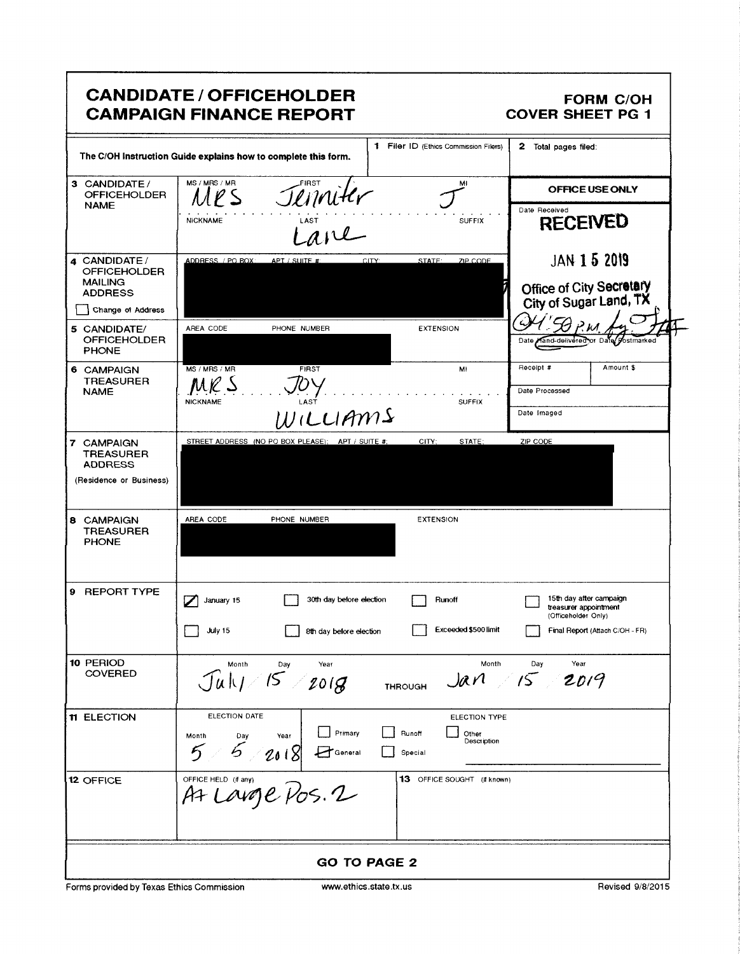|                                                                          | <b>CANDIDATE / OFFICEHOLDER</b><br><b>CAMPAIGN FINANCE REPORT</b>                                                                                             | <b>FORM C/OH</b><br><b>COVER SHEET PG 1</b>                             |
|--------------------------------------------------------------------------|---------------------------------------------------------------------------------------------------------------------------------------------------------------|-------------------------------------------------------------------------|
|                                                                          | 1 Filer ID (Ethics Commission Filers)<br>The C/OH Instruction Guide explains how to complete this form.                                                       | 2 Total pages filed:                                                    |
| 3 CANDIDATE/<br><b>OFFICEHOLDER</b><br><b>NAME</b>                       | MS / MRS / MR<br>FIRST<br>M.<br>$l$ S                                                                                                                         | OFFICE USE ONLY                                                         |
|                                                                          | Jenniter<br>Lane<br><b>NICKNAME</b><br><b>SUFFIX</b>                                                                                                          | Date Received<br><b>RECEIVED</b>                                        |
| 4 CANDIDATE /<br><b>OFFICEHOLDER</b><br><b>MAILING</b><br><b>ADDRESS</b> | ADDRESS / PO BOX:<br>STATE:<br>ZIP CODE<br>APT / SUITE #:<br>CITY:                                                                                            | <b>JAN 1 5 2019</b><br>Office of City Secretary                         |
| Change of Address                                                        |                                                                                                                                                               | City of Sugar Land, TX                                                  |
| 5 CANDIDATE/<br><b>OFFICEHOLDER</b><br><b>PHONE</b>                      | AREA CODE<br>PHONE NUMBER<br><b>EXTENSION</b>                                                                                                                 | Date Hand-delivered or Date Postmarked                                  |
| 6 CAMPAIGN<br><b>TREASURER</b><br><b>NAME</b>                            | MS / MRS / MR<br><b>FIRST</b><br>MI<br>MR S                                                                                                                   | Receipt #<br>Amount \$<br>Date Processed                                |
|                                                                          | LAST<br><b>NICKNAME</b><br><b>SUFFIX</b><br>WILLIAMS                                                                                                          | Date Imaged                                                             |
| 7 CAMPAIGN                                                               | CITY:<br>STREET ADDRESS (NO PO BOX PLEASE); APT / SUITE #;<br>STATE:                                                                                          | ZIP CODE                                                                |
| <b>TREASURER</b><br><b>ADDRESS</b><br>(Residence or Business)            |                                                                                                                                                               |                                                                         |
| 8 CAMPAIGN<br><b>TREASURER</b><br><b>PHONE</b>                           | AREA CODE<br>PHONE NUMBER<br><b>EXTENSION</b>                                                                                                                 |                                                                         |
| 9 REPORT TYPE                                                            | 30th day before election<br>Runoff<br>January 15<br>✓                                                                                                         | 15th day after campaign<br>treasurer appointment<br>(Officeholder Only) |
|                                                                          | Exceeded \$500 limit<br>July 15<br>8th day before election                                                                                                    | Final Report (Attach C/OH - FR)                                         |
| 10 PERIOD<br><b>COVERED</b>                                              | Month<br>Year<br>Day<br>Juh/15/2018<br><b>THROUGH</b>                                                                                                         | Month<br>Day<br>Year<br>$Jarn$ 15 2019                                  |
| 11 ELECTION                                                              | ELECTION DATE<br>ELECTION TYPE<br>Primary<br>Runoff<br>Other<br>Month<br>Year<br>Day<br>Description<br>$5 - 2018$<br>$5 -$<br>$\mathbf{F}$ General<br>Special |                                                                         |
| 12 OFFICE                                                                | OFFICE HELD (Hany)<br>At LOUDE POS. 2<br>13 OFFICE SOUGHT (if known)                                                                                          |                                                                         |
|                                                                          | <b>GO TO PAGE 2</b>                                                                                                                                           |                                                                         |
| Forms provided by Texas Ethics Commission                                | www.ethics.state.tx.us                                                                                                                                        | Revised 9/8/2015                                                        |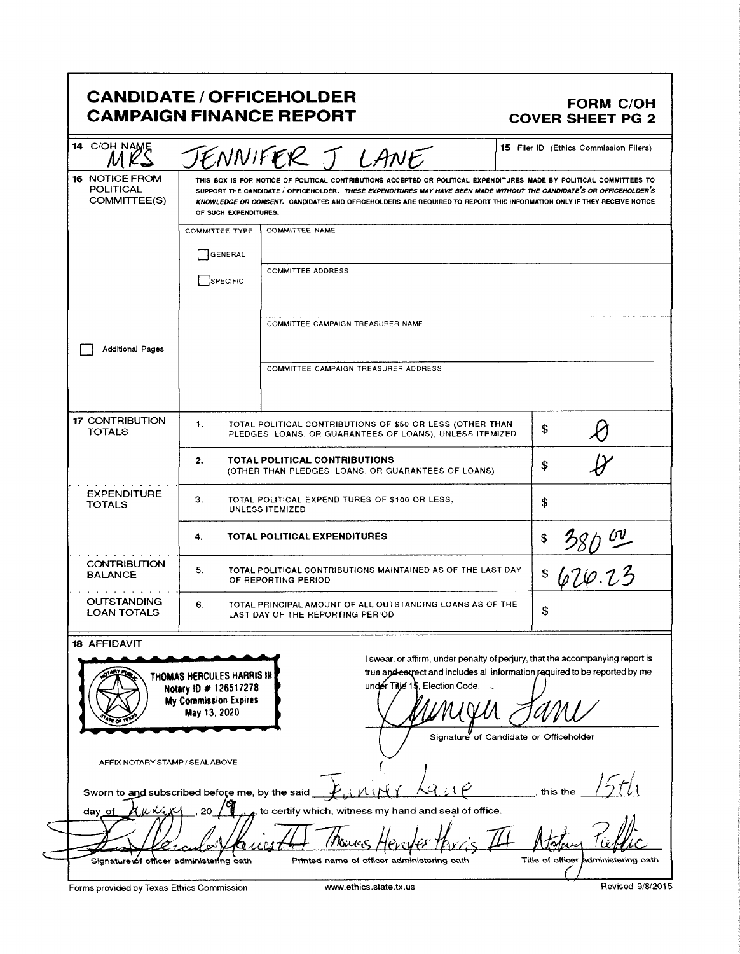## CANDIDATE / OFFICEHOLDER<br>CAMPAIGN FINANCE REPORT COVER SHEET PG 2 **CAMPAIGN FINANCE REPORT**

| 16 NOTICE FROM<br><b>POLITICAL</b><br>COMMITTEE(S)                               | JENNIFER J LANE<br>THIS BOX IS FOR NOTICE OF POLITICAL CONTRIBUTIONS ACCEPTED OR POLITICAL EXPENDITURES MADE BY POLITICAL COMMITTEES TO<br>SUPPORT THE CANDIDATE / OFFICEHOLDER. THESE EXPENDITURES MAY HAVE BEEN MADE WITHOUT THE CANDIDATE'S OR OFFICEHOLDER'S<br>KNOWLEDGE OR CONSENT. CANDIDATES AND OFFICEHOLDERS ARE REQUIRED TO REPORT THIS INFORMATION ONLY IF THEY RECEIVE NOTICE<br>OF SUCH EXPENDITURES. |                                                                                                                                                                                                                                         |                                     |  |
|----------------------------------------------------------------------------------|---------------------------------------------------------------------------------------------------------------------------------------------------------------------------------------------------------------------------------------------------------------------------------------------------------------------------------------------------------------------------------------------------------------------|-----------------------------------------------------------------------------------------------------------------------------------------------------------------------------------------------------------------------------------------|-------------------------------------|--|
|                                                                                  | COMMITTEE TYPE<br>  GENERAL                                                                                                                                                                                                                                                                                                                                                                                         | COMMITTEE NAME                                                                                                                                                                                                                          |                                     |  |
|                                                                                  | SPECIFIC                                                                                                                                                                                                                                                                                                                                                                                                            | <b>COMMITTEE ADDRESS</b>                                                                                                                                                                                                                |                                     |  |
|                                                                                  |                                                                                                                                                                                                                                                                                                                                                                                                                     | COMMITTEE CAMPAIGN TREASURER NAME                                                                                                                                                                                                       |                                     |  |
| <b>Additional Pages</b>                                                          |                                                                                                                                                                                                                                                                                                                                                                                                                     | COMMITTEE CAMPAIGN TREASURER ADDRESS                                                                                                                                                                                                    |                                     |  |
| <b>17 CONTRIBUTION</b><br><b>TOTALS</b>                                          | 1.                                                                                                                                                                                                                                                                                                                                                                                                                  | TOTAL POLITICAL CONTRIBUTIONS OF \$50 OR LESS (OTHER THAN<br>PLEDGES, LOANS, OR GUARANTEES OF LOANS), UNLESS ITEMIZED                                                                                                                   | \$                                  |  |
|                                                                                  | 2.                                                                                                                                                                                                                                                                                                                                                                                                                  | <b>TOTAL POLITICAL CONTRIBUTIONS</b><br>(OTHER THAN PLEDGES, LOANS, OR GUARANTEES OF LOANS)                                                                                                                                             | \$                                  |  |
| <b>EXPENDITURE</b><br><b>TOTALS</b>                                              | З.<br>TOTAL POLITICAL EXPENDITURES OF \$100 OR LESS,<br>UNLESS ITEMIZED                                                                                                                                                                                                                                                                                                                                             |                                                                                                                                                                                                                                         | \$                                  |  |
|                                                                                  | 4.                                                                                                                                                                                                                                                                                                                                                                                                                  | <b>TOTAL POLITICAL EXPENDITURES</b>                                                                                                                                                                                                     |                                     |  |
| <b>CONTRIBUTION</b><br><b>BALANCE</b>                                            | 5.<br>TOTAL POLITICAL CONTRIBUTIONS MAINTAINED AS OF THE LAST DAY<br>OF REPORTING PERIOD                                                                                                                                                                                                                                                                                                                            | $\frac{380}{20}$<br>\$                                                                                                                                                                                                                  |                                     |  |
| <b>OUTSTANDING</b><br><b>LOAN TOTALS</b>                                         | 6.<br>TOTAL PRINCIPAL AMOUNT OF ALL OUTSTANDING LOANS AS OF THE<br>LAST DAY OF THE REPORTING PERIOD                                                                                                                                                                                                                                                                                                                 | \$                                                                                                                                                                                                                                      |                                     |  |
| <b>18 AFFIDAVIT</b><br>$\mathcal{L}$                                             | THOMAS HERCULES HARRIS III<br>Notary ID # 126517278<br>My Commission Expires<br>May 13, 2020                                                                                                                                                                                                                                                                                                                        | I swear, or affirm, under penalty of perjury, that the accompanying report is<br>true and correct and includes all information required to be reported by me<br>under Title 15, Election Code<br>Signature of Candidate or Officeholder |                                     |  |
| AFFIX NOTARY STAMP / SEALABOVE<br>Sworn to and subscribed before me, by the said |                                                                                                                                                                                                                                                                                                                                                                                                                     |                                                                                                                                                                                                                                         | this the                            |  |
| auwin<br>day of                                                                  | 20                                                                                                                                                                                                                                                                                                                                                                                                                  | $_A$ , to certify which, witness my hand and seal of office.                                                                                                                                                                            |                                     |  |
| Signature of officer administering oath                                          |                                                                                                                                                                                                                                                                                                                                                                                                                     | Printed name of officer administering oath                                                                                                                                                                                              | Title of officer administering oath |  |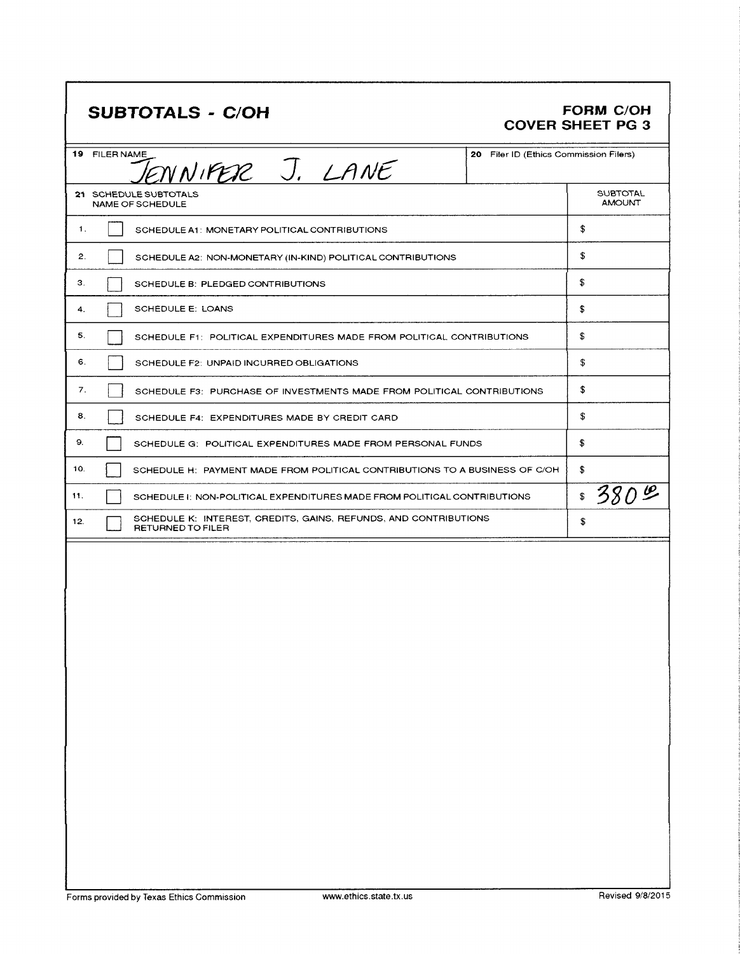## SUBTOTALS - C/OH

## FORM C/OH<br>COVER SHEET PG 3

| 19 FILER NAME<br>20 Filer ID (Ethics Commission Filers)<br>ENNIFER J. LANE                          |                                  |  |  |  |  |
|-----------------------------------------------------------------------------------------------------|----------------------------------|--|--|--|--|
| 21 SCHEDULE SUBTOTALS<br><b>NAME OF SCHEDULE</b>                                                    | <b>SUBTOTAL</b><br><b>AMOUNT</b> |  |  |  |  |
| 1.<br>SCHEDULE A1: MONETARY POLITICAL CONTRIBUTIONS                                                 | \$                               |  |  |  |  |
| 2.<br>SCHEDULE A2: NON-MONETARY (IN-KIND) POLITICAL CONTRIBUTIONS                                   | \$                               |  |  |  |  |
| З.<br>SCHEDULE B: PLEDGED CONTRIBUTIONS                                                             | \$                               |  |  |  |  |
| SCHEDULE E: LOANS<br>4.                                                                             | \$                               |  |  |  |  |
| 5.<br>SCHEDULE F1: POLITICAL EXPENDITURES MADE FROM POLITICAL CONTRIBUTIONS                         | \$                               |  |  |  |  |
| 6.<br>SCHEDULE F2: UNPAID INCURRED OBLIGATIONS                                                      | \$                               |  |  |  |  |
| 7.<br>SCHEDULE F3: PURCHASE OF INVESTMENTS MADE FROM POLITICAL CONTRIBUTIONS                        | \$                               |  |  |  |  |
| 8.<br>SCHEDULE F4: EXPENDITURES MADE BY CREDIT CARD                                                 | \$                               |  |  |  |  |
| 9.<br>SCHEDULE G: POLITICAL EXPENDITURES MADE FROM PERSONAL FUNDS                                   | \$                               |  |  |  |  |
| 10.<br>SCHEDULE H: PAYMENT MADE FROM POLITICAL CONTRIBUTIONS TO A BUSINESS OF C/OH                  | \$                               |  |  |  |  |
| 11.<br>SCHEDULE I: NON-POLITICAL EXPENDITURES MADE FROM POLITICAL CONTRIBUTIONS                     | 380%<br>\$                       |  |  |  |  |
| SCHEDULE K: INTEREST, CREDITS, GAINS, REFUNDS, AND CONTRIBUTIONS<br>12.<br><b>RETURNED TO FILER</b> | £.                               |  |  |  |  |